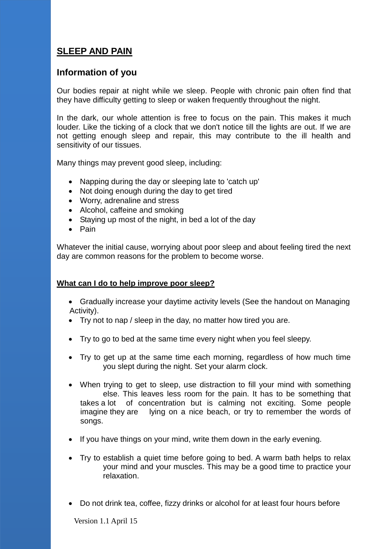## **SLEEP AND PAIN**

## **Information of you**

Our bodies repair at night while we sleep. People with chronic pain often find that they have difficulty getting to sleep or waken frequently throughout the night.

In the dark, our whole attention is free to focus on the pain. This makes it much louder. Like the ticking of a clock that we don't notice till the lights are out. If we are not getting enough sleep and repair, this may contribute to the ill health and sensitivity of our tissues.

Many things may prevent good sleep, including:

- Napping during the day or sleeping late to 'catch up'
- Not doing enough during the day to get tired
- Worry, adrenaline and stress
- Alcohol, caffeine and smoking
- Staying up most of the night, in bed a lot of the day
- $\bullet$  Pain

Whatever the initial cause, worrying about poor sleep and about feeling tired the next day are common reasons for the problem to become worse.

## **What can I do to help improve poor sleep?**

- Gradually increase your daytime activity levels (See the handout on Managing Activity).
- Try not to nap / sleep in the day, no matter how tired you are.
- Try to go to bed at the same time every night when you feel sleepy.
- Try to get up at the same time each morning, regardless of how much time you slept during the night. Set your alarm clock.
- When trying to get to sleep, use distraction to fill your mind with something else. This leaves less room for the pain. It has to be something that takes a lot of concentration but is calming not exciting. Some people imagine they are lying on a nice beach, or try to remember the words of songs.
- If you have things on your mind, write them down in the early evening.
- Try to establish a quiet time before going to bed. A warm bath helps to relax your mind and your muscles. This may be a good time to practice your relaxation.
- Do not drink tea, coffee, fizzy drinks or alcohol for at least four hours before